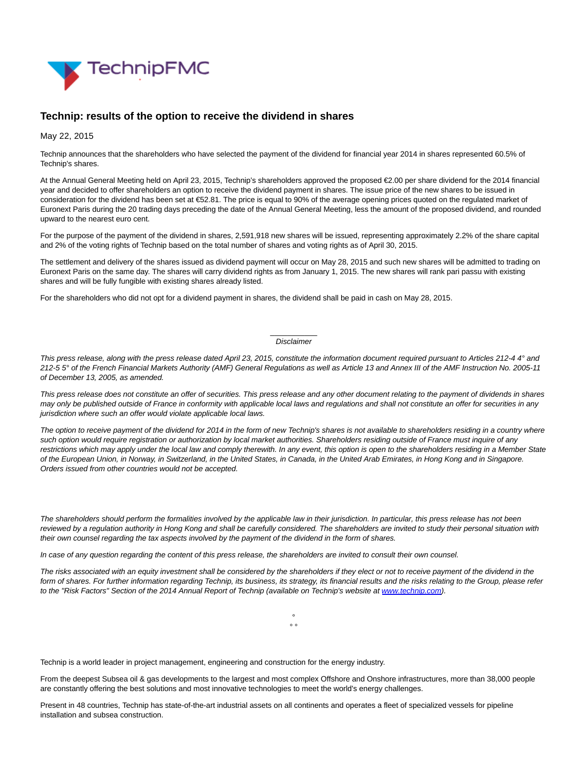

## **Technip: results of the option to receive the dividend in shares**

May 22, 2015

Technip announces that the shareholders who have selected the payment of the dividend for financial year 2014 in shares represented 60.5% of Technip's shares.

At the Annual General Meeting held on April 23, 2015, Technip's shareholders approved the proposed €2.00 per share dividend for the 2014 financial year and decided to offer shareholders an option to receive the dividend payment in shares. The issue price of the new shares to be issued in consideration for the dividend has been set at €52.81. The price is equal to 90% of the average opening prices quoted on the regulated market of Euronext Paris during the 20 trading days preceding the date of the Annual General Meeting, less the amount of the proposed dividend, and rounded upward to the nearest euro cent.

For the purpose of the payment of the dividend in shares, 2,591,918 new shares will be issued, representing approximately 2.2% of the share capital and 2% of the voting rights of Technip based on the total number of shares and voting rights as of April 30, 2015.

The settlement and delivery of the shares issued as dividend payment will occur on May 28, 2015 and such new shares will be admitted to trading on Euronext Paris on the same day. The shares will carry dividend rights as from January 1, 2015. The new shares will rank pari passu with existing shares and will be fully fungible with existing shares already listed.

For the shareholders who did not opt for a dividend payment in shares, the dividend shall be paid in cash on May 28, 2015.

## $\overline{\phantom{a}}$ Disclaimer

This press release, along with the press release dated April 23, 2015, constitute the information document required pursuant to Articles 212-4 4° and 212-5 5° of the French Financial Markets Authority (AMF) General Regulations as well as Article 13 and Annex III of the AMF Instruction No. 2005-11 of December 13, 2005, as amended.

This press release does not constitute an offer of securities. This press release and any other document relating to the payment of dividends in shares may only be published outside of France in conformity with applicable local laws and regulations and shall not constitute an offer for securities in any jurisdiction where such an offer would violate applicable local laws.

The option to receive payment of the dividend for 2014 in the form of new Technip's shares is not available to shareholders residing in a country where such option would require registration or authorization by local market authorities. Shareholders residing outside of France must inquire of any restrictions which may apply under the local law and comply therewith. In any event, this option is open to the shareholders residing in a Member State of the European Union, in Norway, in Switzerland, in the United States, in Canada, in the United Arab Emirates, in Hong Kong and in Singapore. Orders issued from other countries would not be accepted.

The shareholders should perform the formalities involved by the applicable law in their jurisdiction. In particular, this press release has not been reviewed by a regulation authority in Hong Kong and shall be carefully considered. The shareholders are invited to study their personal situation with their own counsel regarding the tax aspects involved by the payment of the dividend in the form of shares.

In case of any question regarding the content of this press release, the shareholders are invited to consult their own counsel.

The risks associated with an equity investment shall be considered by the shareholders if they elect or not to receive payment of the dividend in the form of shares. For further information regarding Technip, its business, its strategy, its financial results and the risks relating to the Group, please refer to the "Risk Factors" Section of the 2014 Annual Report of Technip (available on Technip's website at [www.technip.com\).](http://www.technip.com/)

> °  $\circ$   $\circ$

Technip is a world leader in project management, engineering and construction for the energy industry.

From the deepest Subsea oil & gas developments to the largest and most complex Offshore and Onshore infrastructures, more than 38,000 people are constantly offering the best solutions and most innovative technologies to meet the world's energy challenges.

Present in 48 countries, Technip has state-of-the-art industrial assets on all continents and operates a fleet of specialized vessels for pipeline installation and subsea construction.